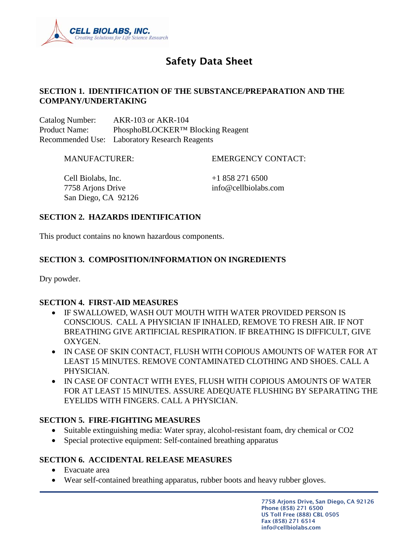

# Safety Data Sheet

### **SECTION 1. IDENTIFICATION OF THE SUBSTANCE/PREPARATION AND THE COMPANY/UNDERTAKING**

Catalog Number: AKR-103 or AKR-104 Product Name: PhosphoBLOCKER™ Blocking Reagent Recommended Use: Laboratory Research Reagents

MANUFACTURER: EMERGENCY CONTACT:

Cell Biolabs, Inc.  $+18582716500$ 7758 Arjons Drive info@cellbiolabs.com San Diego, CA 92126

### **SECTION 2. HAZARDS IDENTIFICATION**

This product contains no known hazardous components.

### **SECTION 3. COMPOSITION/INFORMATION ON INGREDIENTS**

Dry powder.

### **SECTION 4. FIRST-AID MEASURES**

- IF SWALLOWED, WASH OUT MOUTH WITH WATER PROVIDED PERSON IS CONSCIOUS. CALL A PHYSICIAN IF INHALED, REMOVE TO FRESH AIR. IF NOT BREATHING GIVE ARTIFICIAL RESPIRATION. IF BREATHING IS DIFFICULT, GIVE OXYGEN.
- IN CASE OF SKIN CONTACT, FLUSH WITH COPIOUS AMOUNTS OF WATER FOR AT LEAST 15 MINUTES. REMOVE CONTAMINATED CLOTHING AND SHOES. CALL A PHYSICIAN.
- IN CASE OF CONTACT WITH EYES, FLUSH WITH COPIOUS AMOUNTS OF WATER FOR AT LEAST 15 MINUTES. ASSURE ADEQUATE FLUSHING BY SEPARATING THE EYELIDS WITH FINGERS. CALL A PHYSICIAN.

### **SECTION 5. FIRE-FIGHTING MEASURES**

- Suitable extinguishing media: Water spray, alcohol-resistant foam, dry chemical or CO2
- Special protective equipment: Self-contained breathing apparatus

### **SECTION 6. ACCIDENTAL RELEASE MEASURES**

- Evacuate area
- Wear self-contained breathing apparatus, rubber boots and heavy rubber gloves.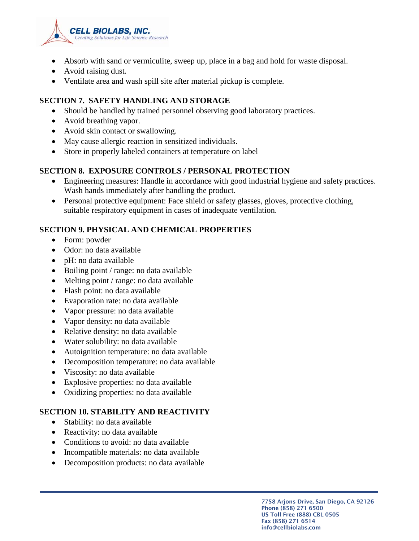

- Absorb with sand or vermiculite, sweep up, place in a bag and hold for waste disposal.
- Avoid raising dust.
- Ventilate area and wash spill site after material pickup is complete.

# **SECTION 7. SAFETY HANDLING AND STORAGE**

- Should be handled by trained personnel observing good laboratory practices.
- Avoid breathing vapor.
- Avoid skin contact or swallowing.
- May cause allergic reaction in sensitized individuals.
- Store in properly labeled containers at temperature on label

# **SECTION 8. EXPOSURE CONTROLS / PERSONAL PROTECTION**

- Engineering measures: Handle in accordance with good industrial hygiene and safety practices. Wash hands immediately after handling the product.
- Personal protective equipment: Face shield or safety glasses, gloves, protective clothing, suitable respiratory equipment in cases of inadequate ventilation.

# **SECTION 9. PHYSICAL AND CHEMICAL PROPERTIES**

- Form: powder
- Odor: no data available
- pH: no data available
- Boiling point / range: no data available
- Melting point / range: no data available
- Flash point: no data available
- Evaporation rate: no data available
- Vapor pressure: no data available
- Vapor density: no data available
- Relative density: no data available
- Water solubility: no data available
- Autoignition temperature: no data available
- Decomposition temperature: no data available
- Viscosity: no data available
- Explosive properties: no data available
- Oxidizing properties: no data available

# **SECTION 10. STABILITY AND REACTIVITY**

- Stability: no data available
- Reactivity: no data available
- Conditions to avoid: no data available
- Incompatible materials: no data available
- Decomposition products: no data available